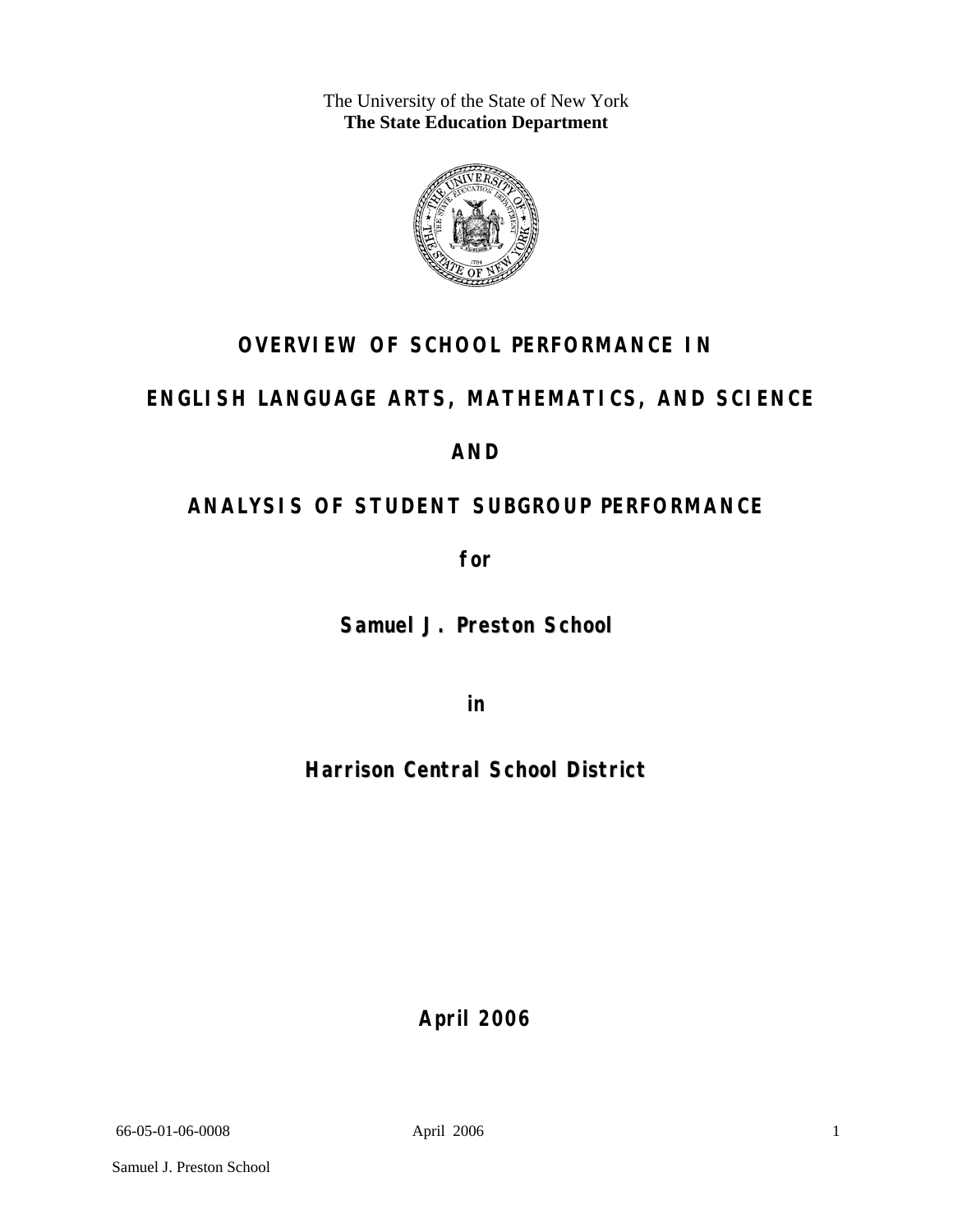The University of the State of New York **The State Education Department** 



### **OVERVIEW OF SCHOOL PERFORMANCE IN**

### **ENGLISH LANGUAGE ARTS, MATHEMATICS, AND SCIENCE**

### **AND**

### **ANALYSIS OF STUDENT SUBGROUP PERFORMANCE**

**for** 

**Samuel J. Preston School**

**in** 

**Harrison Central School District**

**April 2006**

66-05-01-06-0008 April 2006

1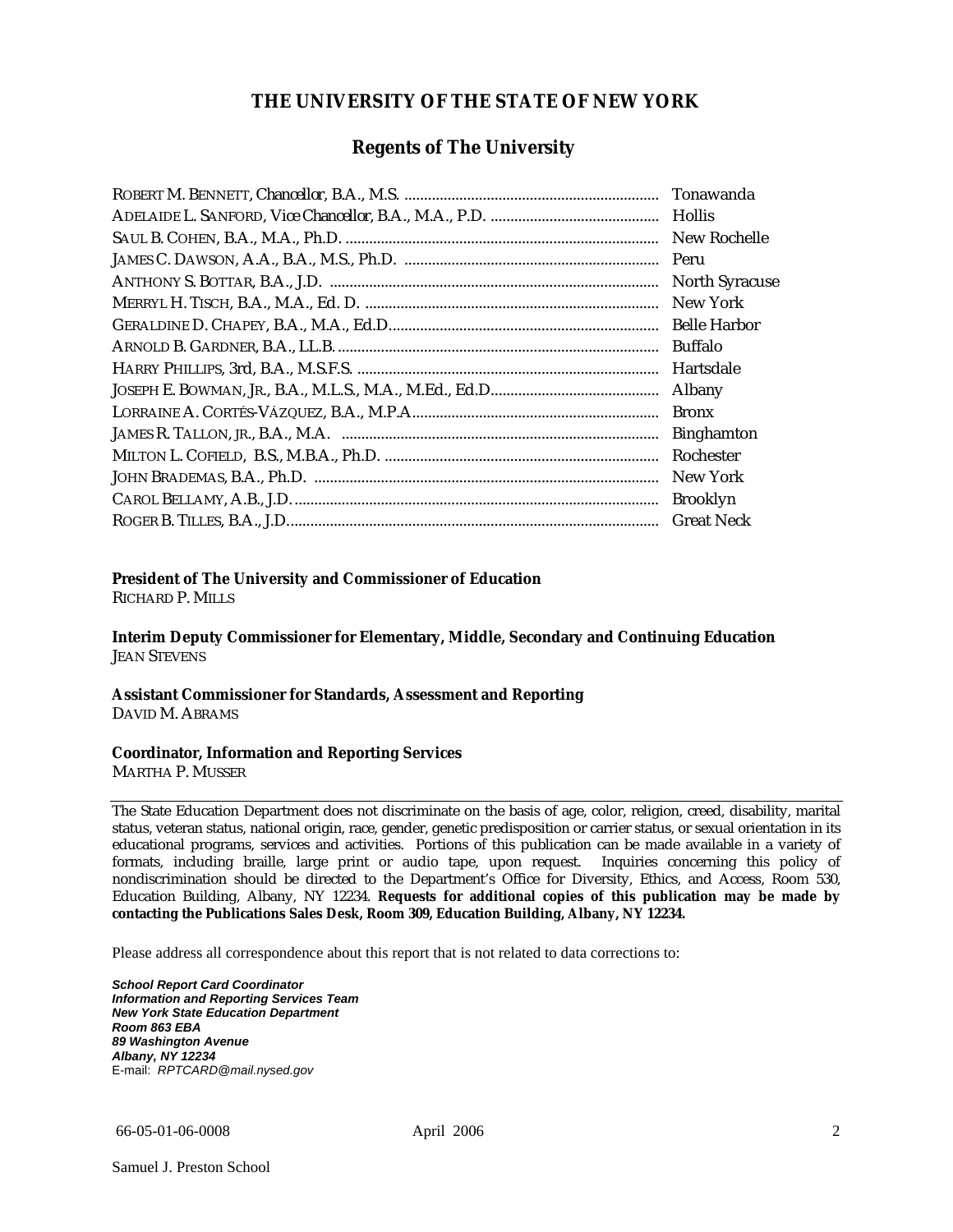#### **THE UNIVERSITY OF THE STATE OF NEW YORK**

#### **Regents of The University**

| Tonawanda             |
|-----------------------|
| <b>Hollis</b>         |
| New Rochelle          |
|                       |
| <b>North Syracuse</b> |
| New York              |
|                       |
| Buffalo               |
| Hartsdale             |
| Albany                |
| <b>Bronx</b>          |
| <b>Binghamton</b>     |
| Rochester             |
| New York              |
| <b>Brooklyn</b>       |
| <b>Great Neck</b>     |

#### **President of The University and Commissioner of Education**

RICHARD P. MILLS

**Interim Deputy Commissioner for Elementary, Middle, Secondary and Continuing Education**  JEAN STEVENS

#### **Assistant Commissioner for Standards, Assessment and Reporting**  DAVID M. ABRAMS

#### **Coordinator, Information and Reporting Services**

MARTHA P. MUSSER

The State Education Department does not discriminate on the basis of age, color, religion, creed, disability, marital status, veteran status, national origin, race, gender, genetic predisposition or carrier status, or sexual orientation in its educational programs, services and activities. Portions of this publication can be made available in a variety of formats, including braille, large print or audio tape, upon request. Inquiries concerning this policy of nondiscrimination should be directed to the Department's Office for Diversity, Ethics, and Access, Room 530, Education Building, Albany, NY 12234. **Requests for additional copies of this publication may be made by contacting the Publications Sales Desk, Room 309, Education Building, Albany, NY 12234.** 

Please address all correspondence about this report that is not related to data corrections to:

*School Report Card Coordinator Information and Reporting Services Team New York State Education Department Room 863 EBA 89 Washington Avenue Albany, NY 12234*  E-mail: *RPTCARD@mail.nysed.gov*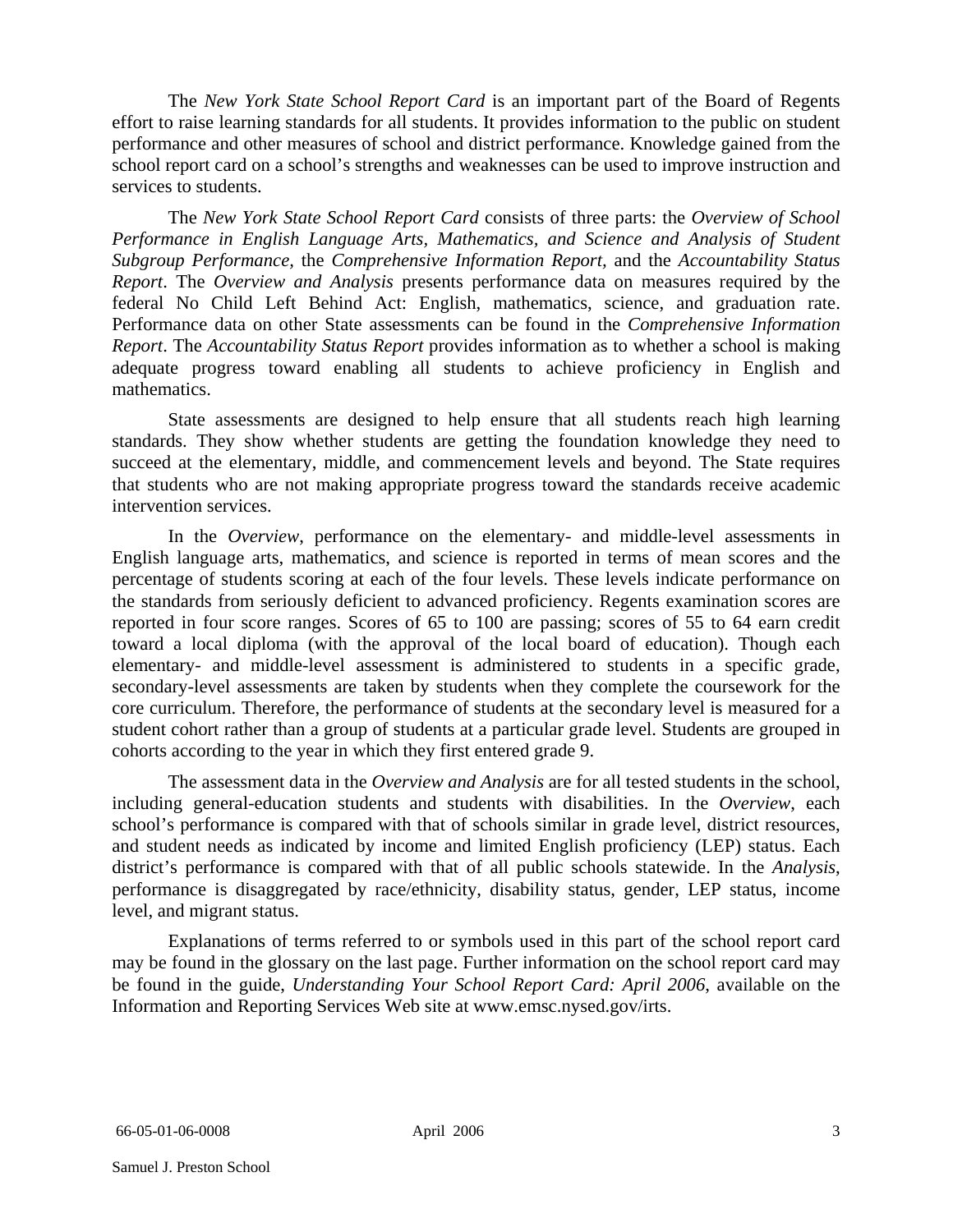The *New York State School Report Card* is an important part of the Board of Regents effort to raise learning standards for all students. It provides information to the public on student performance and other measures of school and district performance. Knowledge gained from the school report card on a school's strengths and weaknesses can be used to improve instruction and services to students.

The *New York State School Report Card* consists of three parts: the *Overview of School Performance in English Language Arts, Mathematics, and Science and Analysis of Student Subgroup Performance,* the *Comprehensive Information Report,* and the *Accountability Status Report*. The *Overview and Analysis* presents performance data on measures required by the federal No Child Left Behind Act: English, mathematics, science, and graduation rate. Performance data on other State assessments can be found in the *Comprehensive Information Report*. The *Accountability Status Report* provides information as to whether a school is making adequate progress toward enabling all students to achieve proficiency in English and mathematics.

State assessments are designed to help ensure that all students reach high learning standards. They show whether students are getting the foundation knowledge they need to succeed at the elementary, middle, and commencement levels and beyond. The State requires that students who are not making appropriate progress toward the standards receive academic intervention services.

In the *Overview*, performance on the elementary- and middle-level assessments in English language arts, mathematics, and science is reported in terms of mean scores and the percentage of students scoring at each of the four levels. These levels indicate performance on the standards from seriously deficient to advanced proficiency. Regents examination scores are reported in four score ranges. Scores of 65 to 100 are passing; scores of 55 to 64 earn credit toward a local diploma (with the approval of the local board of education). Though each elementary- and middle-level assessment is administered to students in a specific grade, secondary-level assessments are taken by students when they complete the coursework for the core curriculum. Therefore, the performance of students at the secondary level is measured for a student cohort rather than a group of students at a particular grade level. Students are grouped in cohorts according to the year in which they first entered grade 9.

The assessment data in the *Overview and Analysis* are for all tested students in the school, including general-education students and students with disabilities. In the *Overview*, each school's performance is compared with that of schools similar in grade level, district resources, and student needs as indicated by income and limited English proficiency (LEP) status. Each district's performance is compared with that of all public schools statewide. In the *Analysis*, performance is disaggregated by race/ethnicity, disability status, gender, LEP status, income level, and migrant status.

Explanations of terms referred to or symbols used in this part of the school report card may be found in the glossary on the last page. Further information on the school report card may be found in the guide, *Understanding Your School Report Card: April 2006*, available on the Information and Reporting Services Web site at www.emsc.nysed.gov/irts.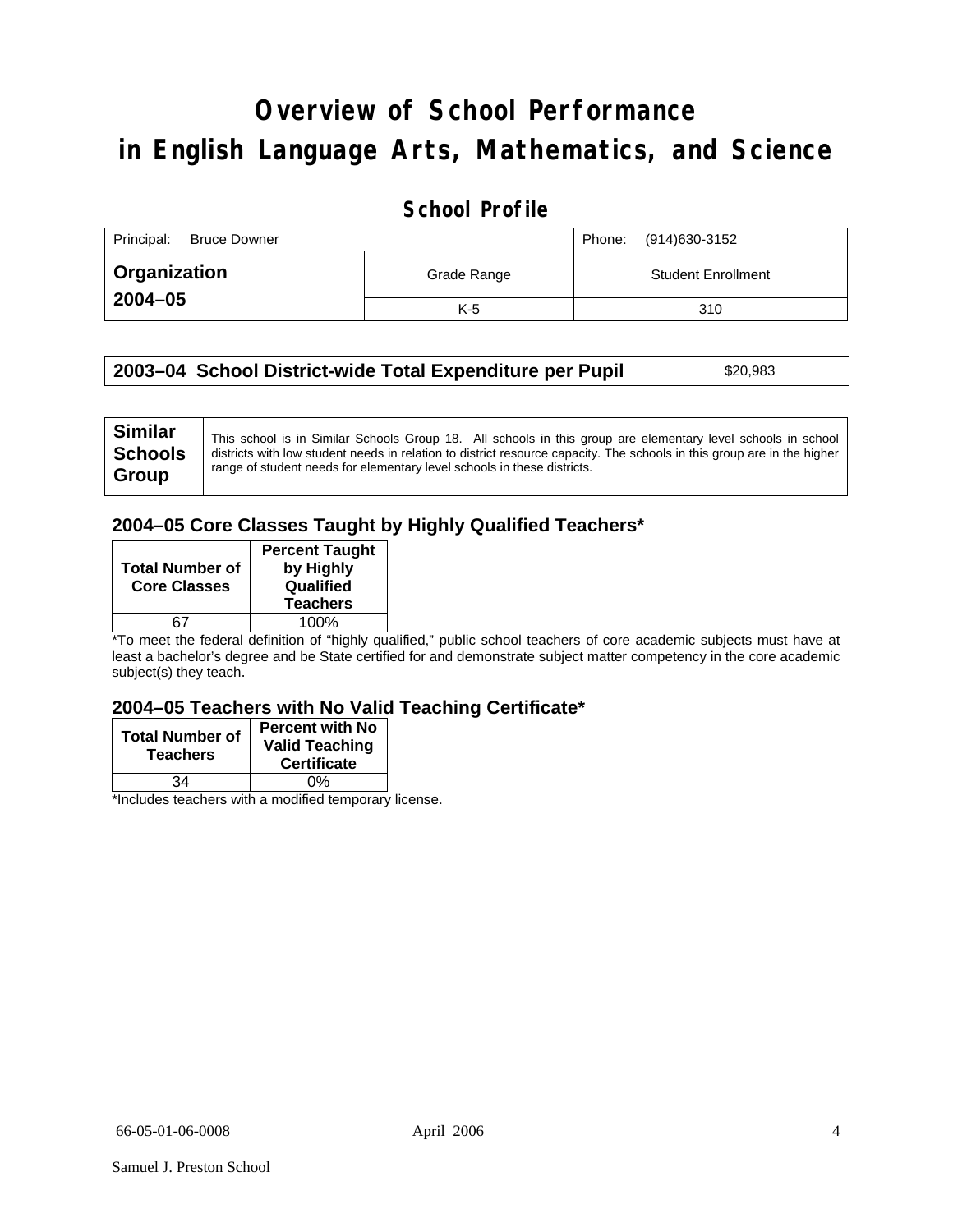# **Overview of School Performance in English Language Arts, Mathematics, and Science**

### **School Profile**

| Principal:<br><b>Bruce Downer</b> |             | (914)630-3152<br>Phone:   |
|-----------------------------------|-------------|---------------------------|
| Organization                      | Grade Range | <b>Student Enrollment</b> |
| $2004 - 05$                       | $K-5$       | 310                       |

| 2003–04 School District-wide Total Expenditure per Pupil | \$20,983 |
|----------------------------------------------------------|----------|
|----------------------------------------------------------|----------|

### **2004–05 Core Classes Taught by Highly Qualified Teachers\***

| <b>Total Number of</b><br><b>Core Classes</b> | <b>Percent Taught</b><br>by Highly<br>Qualified<br><b>Teachers</b> |
|-----------------------------------------------|--------------------------------------------------------------------|
|                                               | 100%                                                               |

\*To meet the federal definition of "highly qualified," public school teachers of core academic subjects must have at least a bachelor's degree and be State certified for and demonstrate subject matter competency in the core academic subject(s) they teach.

#### **2004–05 Teachers with No Valid Teaching Certificate\***

| <b>Total Number of</b><br><b>Teachers</b> | <b>Percent with No</b><br><b>Valid Teaching</b><br><b>Certificate</b> |
|-------------------------------------------|-----------------------------------------------------------------------|
| ۹4                                        | 0%                                                                    |
| $\mathbf{A}$<br>$\cdots$                  |                                                                       |

\*Includes teachers with a modified temporary license.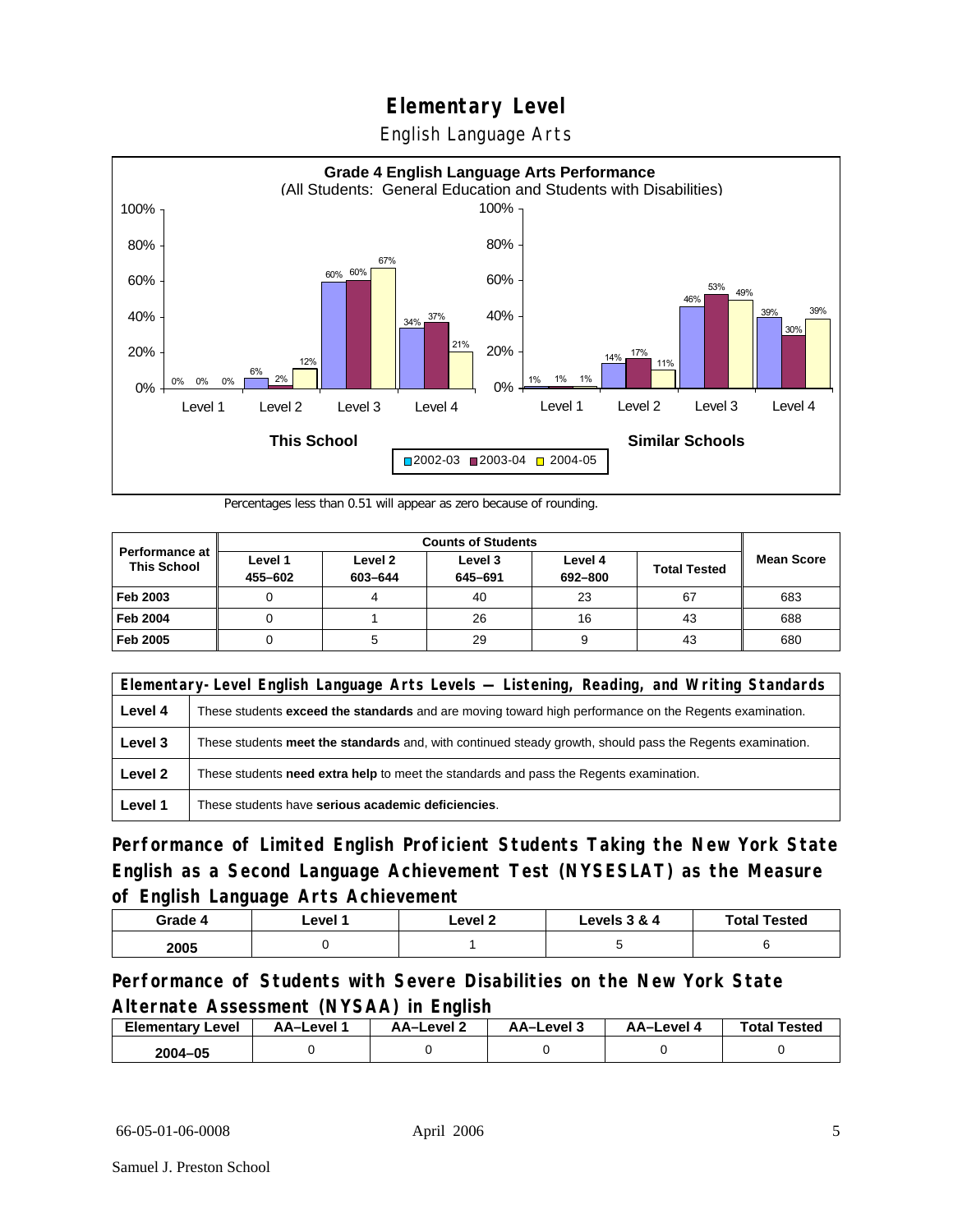English Language Arts



Percentages less than 0.51 will appear as zero because of rounding.

|                                      |                    | <b>Counts of Students</b> |                    |                    |                     |                   |
|--------------------------------------|--------------------|---------------------------|--------------------|--------------------|---------------------|-------------------|
| Performance at<br><b>This School</b> | Level 1<br>455-602 | Level 2<br>603-644        | Level 3<br>645-691 | Level 4<br>692-800 | <b>Total Tested</b> | <b>Mean Score</b> |
| Feb 2003                             |                    |                           | 40                 | 23                 | 67                  | 683               |
| <b>Feb 2004</b>                      | U                  |                           | 26                 | 16                 | 43                  | 688               |
| Feb 2005                             |                    |                           | 29                 |                    | 43                  | 680               |

| Elementary-Level English Language Arts Levels — Listening, Reading, and Writing Standards |                                                                                                               |  |
|-------------------------------------------------------------------------------------------|---------------------------------------------------------------------------------------------------------------|--|
| Level 4                                                                                   | These students <b>exceed the standards</b> and are moving toward high performance on the Regents examination. |  |
| Level 3                                                                                   | These students meet the standards and, with continued steady growth, should pass the Regents examination.     |  |
| Level 2                                                                                   | These students need extra help to meet the standards and pass the Regents examination.                        |  |
| Level 1                                                                                   | These students have serious academic deficiencies.                                                            |  |

**Performance of Limited English Proficient Students Taking the New York State English as a Second Language Achievement Test (NYSESLAT) as the Measure of English Language Arts Achievement**

| Grade 4 | _evel | Level 2 | Levels 3 & 4 | <b>Total Tested</b> |
|---------|-------|---------|--------------|---------------------|
| 2005    |       |         |              |                     |

**Performance of Students with Severe Disabilities on the New York State Alternate Assessment (NYSAA) in English** 

| <b>Elementary Level</b> | AA-Level | AA-Level 2 | AA-Level 3 | AA–Level 4 | <b>Total Tested</b> |
|-------------------------|----------|------------|------------|------------|---------------------|
| 2004-05                 |          |            |            |            |                     |

66-05-01-06-0008 April 2006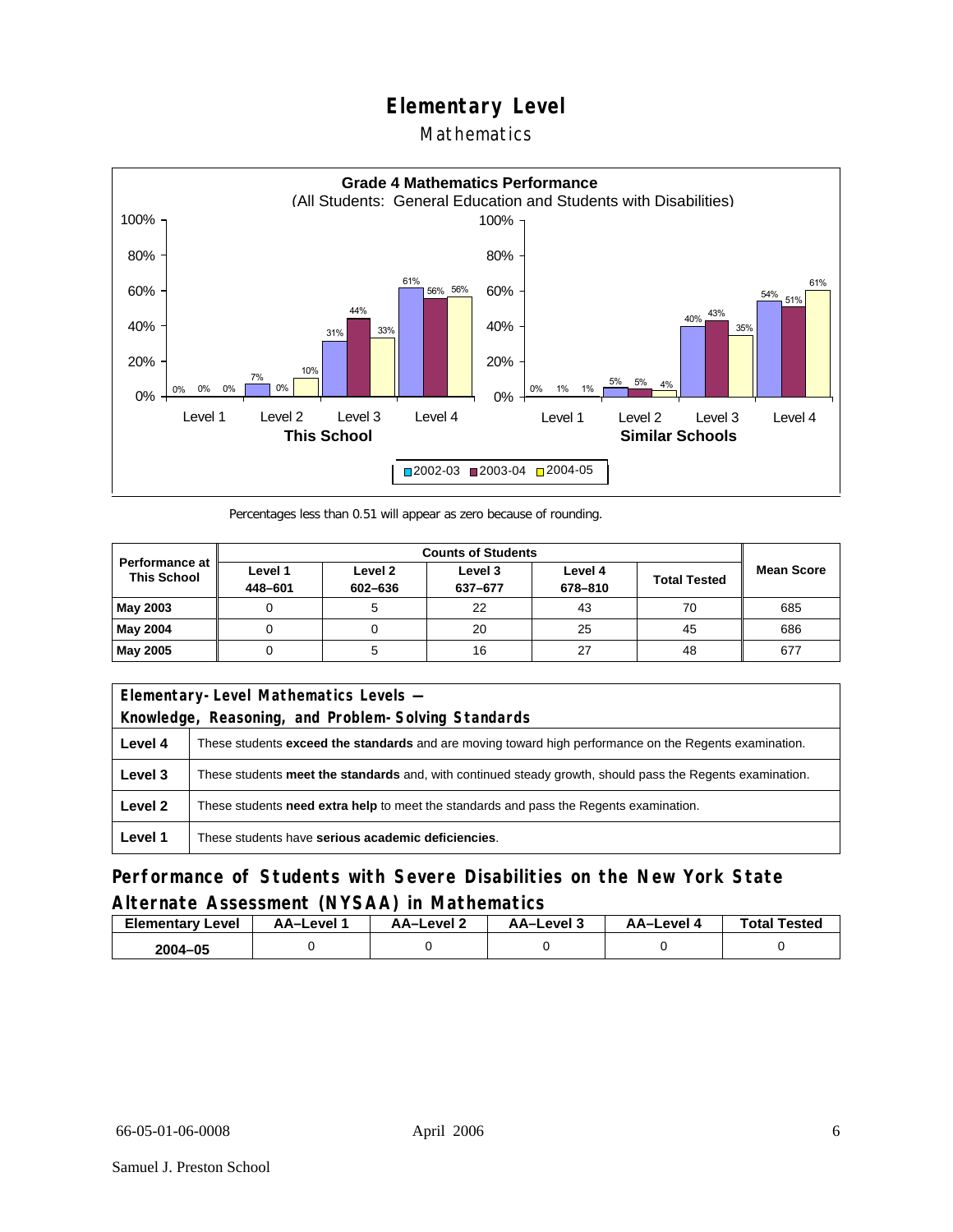### Mathematics



Percentages less than 0.51 will appear as zero because of rounding.

|                                             |                    |                    | <b>Counts of Students</b> |                    |                     |                   |
|---------------------------------------------|--------------------|--------------------|---------------------------|--------------------|---------------------|-------------------|
| <b>Performance at</b><br><b>This School</b> | Level 1<br>448-601 | Level 2<br>602-636 | Level 3<br>637-677        | Level 4<br>678-810 | <b>Total Tested</b> | <b>Mean Score</b> |
| May 2003                                    |                    |                    | 22                        | 43                 | 70                  | 685               |
| May 2004                                    |                    |                    | 20                        | 25                 | 45                  | 686               |
| May 2005                                    |                    |                    | 16                        | 27                 | 48                  | 677               |

|         | Elementary-Level Mathematics Levels -                                                                         |  |  |
|---------|---------------------------------------------------------------------------------------------------------------|--|--|
|         | Knowledge, Reasoning, and Problem-Solving Standards                                                           |  |  |
| Level 4 | These students <b>exceed the standards</b> and are moving toward high performance on the Regents examination. |  |  |
| Level 3 | These students meet the standards and, with continued steady growth, should pass the Regents examination.     |  |  |
| Level 2 | These students need extra help to meet the standards and pass the Regents examination.                        |  |  |
| Level 1 | These students have serious academic deficiencies.                                                            |  |  |

### **Performance of Students with Severe Disabilities on the New York State Alternate Assessment (NYSAA) in Mathematics**

| <b>Elementary Level</b> | AA-Level | – AA–Level | AA-Level 3 | AA–Level 4 | <b>Total Tested</b> |
|-------------------------|----------|------------|------------|------------|---------------------|
| 2004–05                 |          |            |            |            |                     |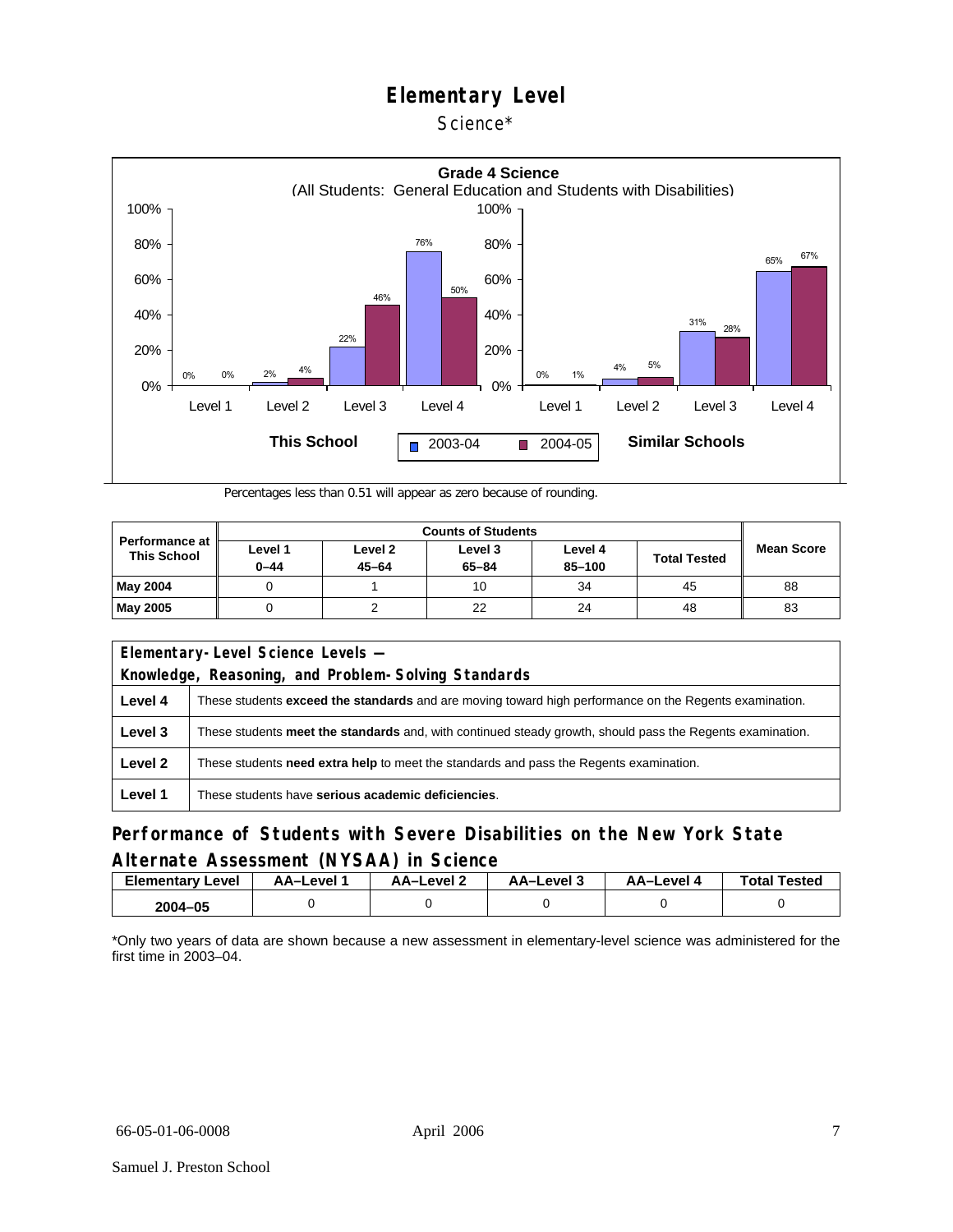Science\*



Percentages less than 0.51 will appear as zero because of rounding.

| <b>Performance at</b><br><b>This School</b> |                     |                      |                      |                   |                     |                   |
|---------------------------------------------|---------------------|----------------------|----------------------|-------------------|---------------------|-------------------|
|                                             | Level 1<br>$0 - 44$ | Level 2<br>$45 - 64$ | Level 3<br>$65 - 84$ | Level 4<br>85-100 | <b>Total Tested</b> | <b>Mean Score</b> |
| <b>May 2004</b>                             |                     |                      | 10                   | 34                | 45                  | 88                |
| <b>May 2005</b>                             |                     |                      | 22                   | 24                | 48                  | 83                |

| Elementary-Level Science Levels -<br>Knowledge, Reasoning, and Problem-Solving Standards |                                                                                                               |  |  |  |  |  |  |
|------------------------------------------------------------------------------------------|---------------------------------------------------------------------------------------------------------------|--|--|--|--|--|--|
| Level 4                                                                                  | These students <b>exceed the standards</b> and are moving toward high performance on the Regents examination. |  |  |  |  |  |  |
| Level 3                                                                                  | These students meet the standards and, with continued steady growth, should pass the Regents examination.     |  |  |  |  |  |  |
| Level 2                                                                                  | These students <b>need extra help</b> to meet the standards and pass the Regents examination.                 |  |  |  |  |  |  |
| Level 1                                                                                  | These students have serious academic deficiencies.                                                            |  |  |  |  |  |  |

#### **Performance of Students with Severe Disabilities on the New York State Alternate Assessment (NYSAA) in Science**

| <b>Elementary Level</b> | <b>AA-Level</b> | AA–Level ∠ | - AA–Level | AA–Level 4 | <b>Total Tested</b> |
|-------------------------|-----------------|------------|------------|------------|---------------------|
| 2004-05                 |                 |            |            |            |                     |

\*Only two years of data are shown because a new assessment in elementary-level science was administered for the first time in 2003–04.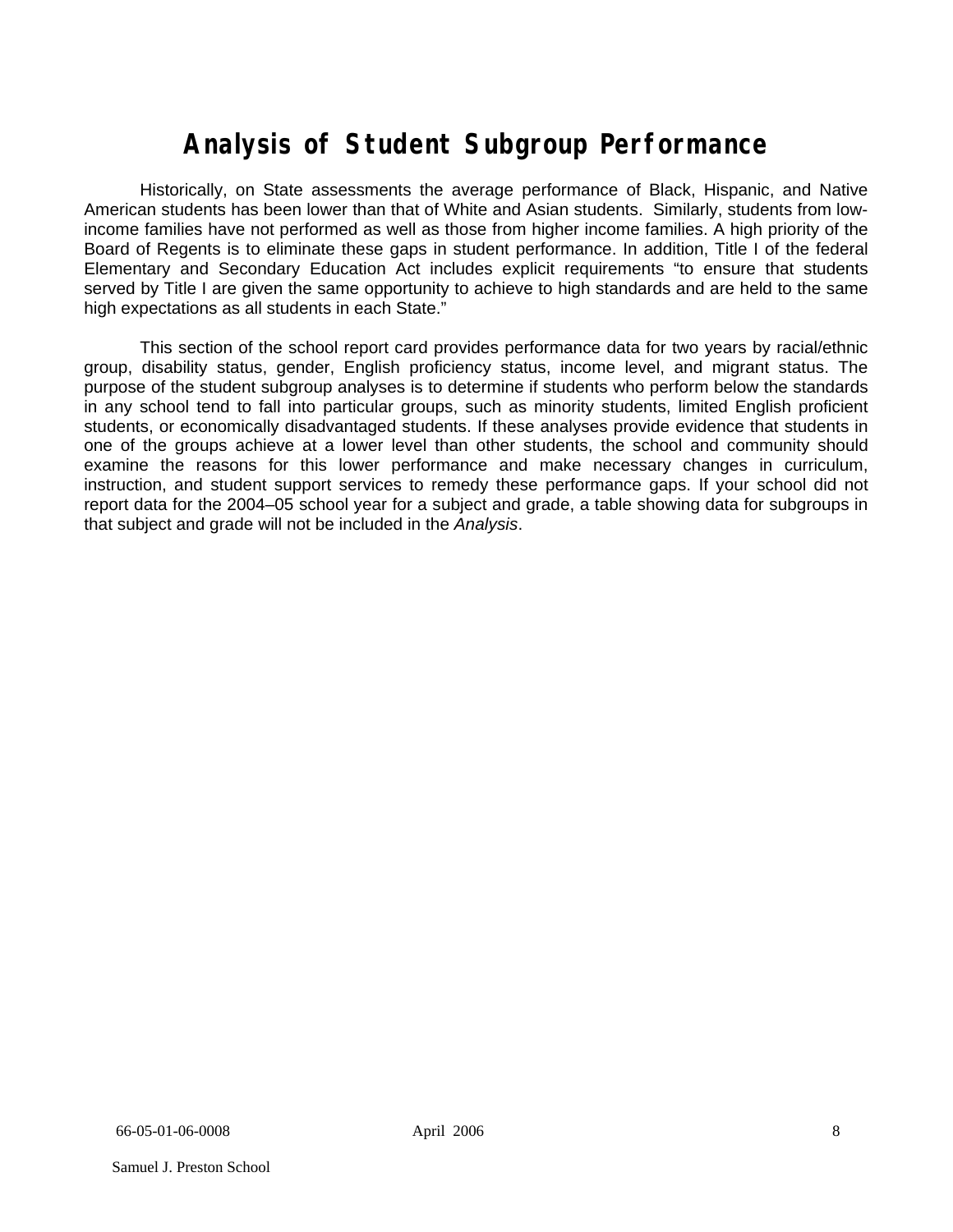# **Analysis of Student Subgroup Performance**

Historically, on State assessments the average performance of Black, Hispanic, and Native American students has been lower than that of White and Asian students. Similarly, students from lowincome families have not performed as well as those from higher income families. A high priority of the Board of Regents is to eliminate these gaps in student performance. In addition, Title I of the federal Elementary and Secondary Education Act includes explicit requirements "to ensure that students served by Title I are given the same opportunity to achieve to high standards and are held to the same high expectations as all students in each State."

This section of the school report card provides performance data for two years by racial/ethnic group, disability status, gender, English proficiency status, income level, and migrant status. The purpose of the student subgroup analyses is to determine if students who perform below the standards in any school tend to fall into particular groups, such as minority students, limited English proficient students, or economically disadvantaged students. If these analyses provide evidence that students in one of the groups achieve at a lower level than other students, the school and community should examine the reasons for this lower performance and make necessary changes in curriculum, instruction, and student support services to remedy these performance gaps. If your school did not report data for the 2004–05 school year for a subject and grade, a table showing data for subgroups in that subject and grade will not be included in the *Analysis*.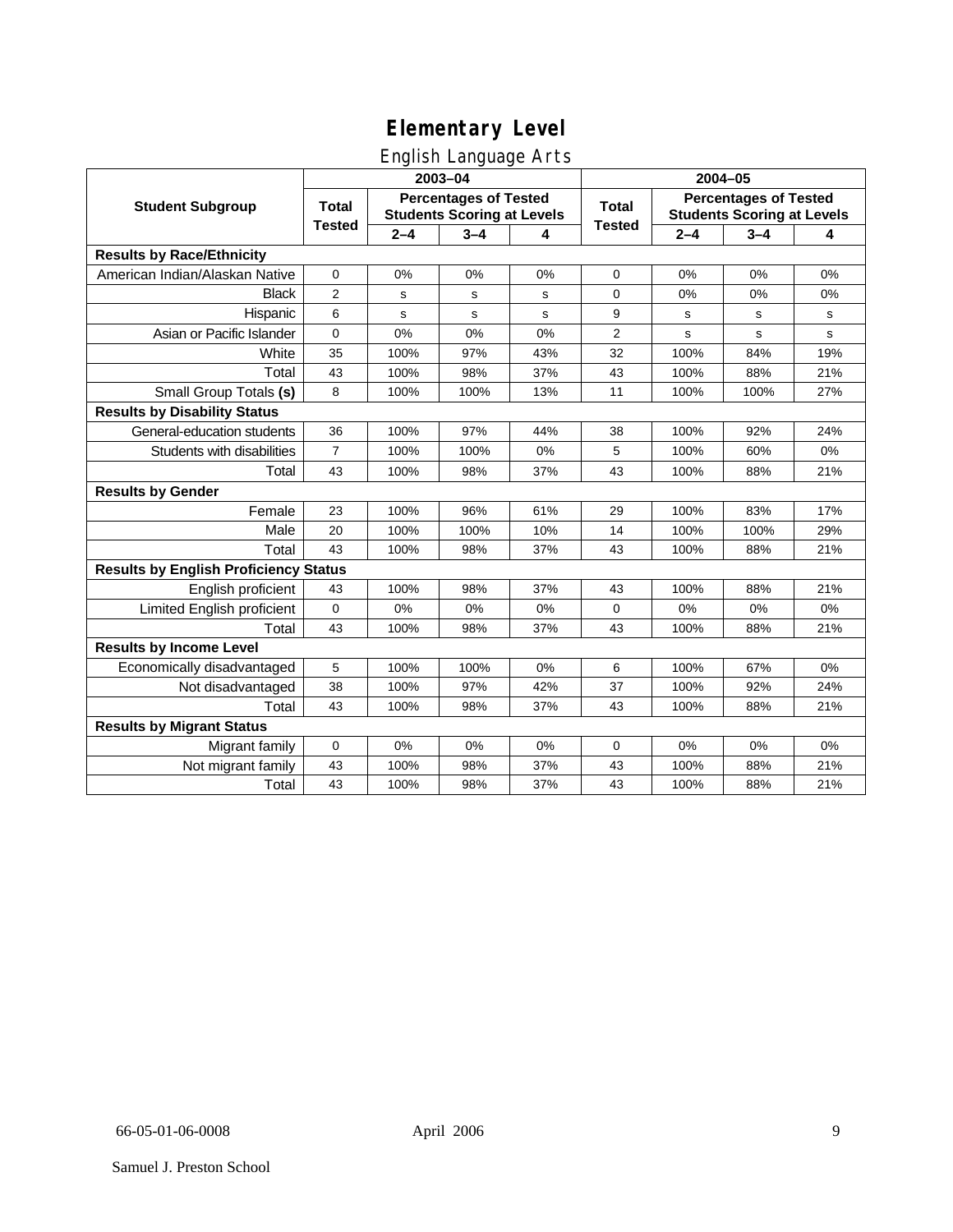### English Language Arts

|                                              |                                                                                   |         | ັ<br>2003-04 |                                                                                   | 2004-05       |         |         |             |
|----------------------------------------------|-----------------------------------------------------------------------------------|---------|--------------|-----------------------------------------------------------------------------------|---------------|---------|---------|-------------|
| <b>Student Subgroup</b>                      | <b>Percentages of Tested</b><br><b>Total</b><br><b>Students Scoring at Levels</b> |         |              | <b>Percentages of Tested</b><br><b>Total</b><br><b>Students Scoring at Levels</b> |               |         |         |             |
|                                              | <b>Tested</b>                                                                     | $2 - 4$ | $3 - 4$      | 4                                                                                 | <b>Tested</b> | $2 - 4$ | $3 - 4$ | 4           |
| <b>Results by Race/Ethnicity</b>             |                                                                                   |         |              |                                                                                   |               |         |         |             |
| American Indian/Alaskan Native               | $\pmb{0}$                                                                         | 0%      | 0%           | 0%                                                                                | $\mathbf 0$   | 0%      | 0%      | 0%          |
| <b>Black</b>                                 | 2                                                                                 | s       | $\mathbf s$  | s                                                                                 | $\mathbf 0$   | 0%      | 0%      | 0%          |
| Hispanic                                     | 6                                                                                 | s       | s            | s                                                                                 | 9             | s       | s       | s           |
| Asian or Pacific Islander                    | 0                                                                                 | 0%      | 0%           | 0%                                                                                | 2             | s       | s       | $\mathbf s$ |
| White                                        | 35                                                                                | 100%    | 97%          | 43%                                                                               | 32            | 100%    | 84%     | 19%         |
| Total                                        | 43                                                                                | 100%    | 98%          | 37%                                                                               | 43            | 100%    | 88%     | 21%         |
| Small Group Totals (s)                       | 8                                                                                 | 100%    | 100%         | 13%                                                                               | 11            | 100%    | 100%    | 27%         |
| <b>Results by Disability Status</b>          |                                                                                   |         |              |                                                                                   |               |         |         |             |
| General-education students                   | 36                                                                                | 100%    | 97%          | 44%                                                                               | 38            | 100%    | 92%     | 24%         |
| Students with disabilities                   | $\overline{7}$                                                                    | 100%    | 100%         | 0%                                                                                | 5             | 100%    | 60%     | 0%          |
| Total                                        | 43                                                                                | 100%    | 98%          | 37%                                                                               | 43            | 100%    | 88%     | 21%         |
| <b>Results by Gender</b>                     |                                                                                   |         |              |                                                                                   |               |         |         |             |
| Female                                       | 23                                                                                | 100%    | 96%          | 61%                                                                               | 29            | 100%    | 83%     | 17%         |
| Male                                         | 20                                                                                | 100%    | 100%         | 10%                                                                               | 14            | 100%    | 100%    | 29%         |
| Total                                        | 43                                                                                | 100%    | 98%          | 37%                                                                               | 43            | 100%    | 88%     | 21%         |
| <b>Results by English Proficiency Status</b> |                                                                                   |         |              |                                                                                   |               |         |         |             |
| English proficient                           | 43                                                                                | 100%    | 98%          | 37%                                                                               | 43            | 100%    | 88%     | 21%         |
| Limited English proficient                   | 0                                                                                 | 0%      | 0%           | 0%                                                                                | $\mathbf 0$   | 0%      | 0%      | $0\%$       |
| Total                                        | 43                                                                                | 100%    | 98%          | 37%                                                                               | 43            | 100%    | 88%     | 21%         |
| <b>Results by Income Level</b>               |                                                                                   |         |              |                                                                                   |               |         |         |             |
| Economically disadvantaged                   | 5                                                                                 | 100%    | 100%         | 0%                                                                                | 6             | 100%    | 67%     | 0%          |
| Not disadvantaged                            | 38                                                                                | 100%    | 97%          | 42%                                                                               | 37            | 100%    | 92%     | 24%         |
| Total                                        | 43                                                                                | 100%    | 98%          | 37%                                                                               | 43            | 100%    | 88%     | 21%         |
| <b>Results by Migrant Status</b>             |                                                                                   |         |              |                                                                                   |               |         |         |             |
| Migrant family                               | 0                                                                                 | 0%      | 0%           | 0%                                                                                | $\mathbf 0$   | 0%      | 0%      | 0%          |
| Not migrant family                           | 43                                                                                | 100%    | 98%          | 37%                                                                               | 43            | 100%    | 88%     | 21%         |
| Total                                        | 43                                                                                | 100%    | 98%          | 37%                                                                               | 43            | 100%    | 88%     | 21%         |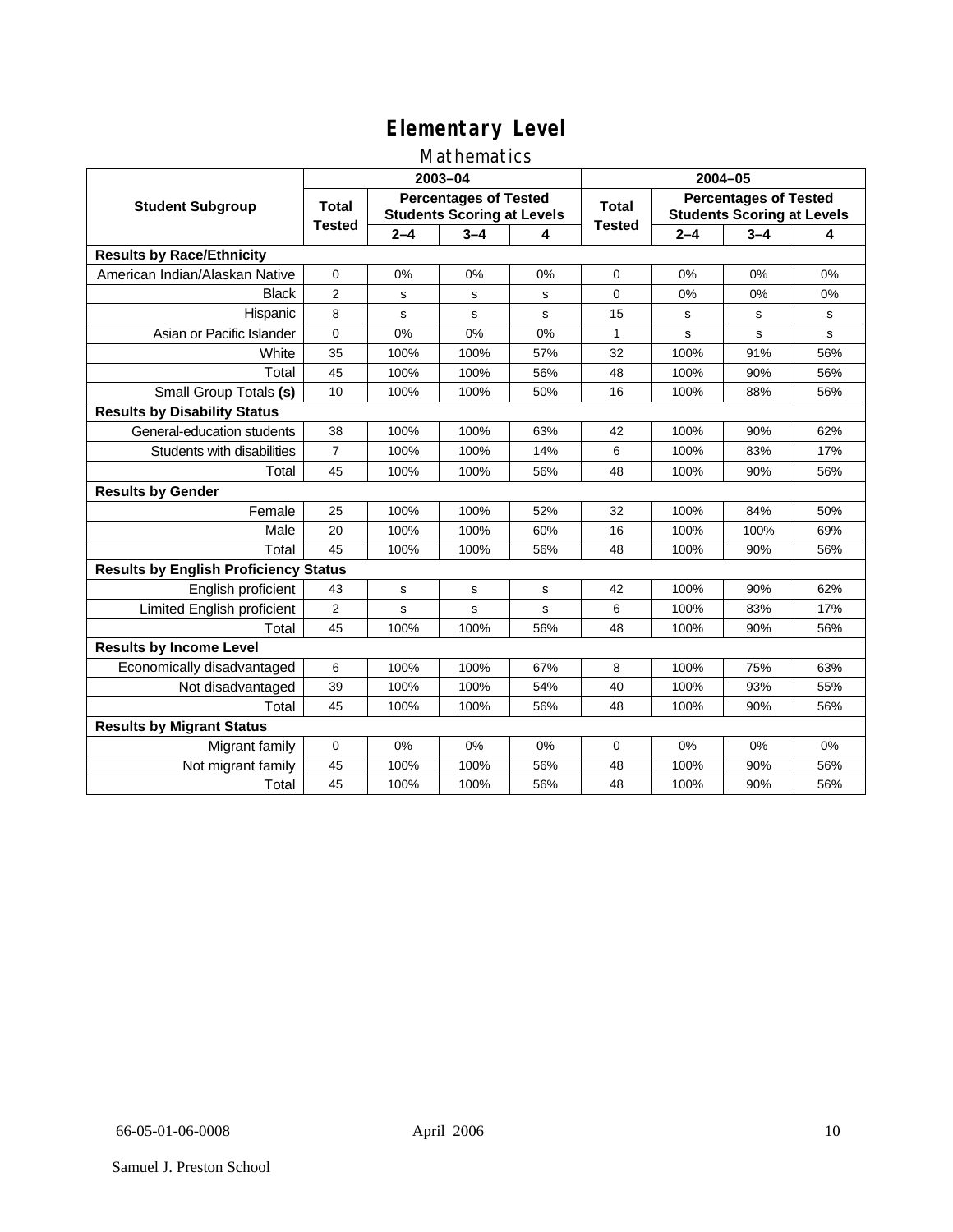### Mathematics

|                                              |                                                                                   |         | 2003-04     |                                                                            | 2004-05       |             |         |     |  |
|----------------------------------------------|-----------------------------------------------------------------------------------|---------|-------------|----------------------------------------------------------------------------|---------------|-------------|---------|-----|--|
| <b>Student Subgroup</b>                      | <b>Percentages of Tested</b><br><b>Total</b><br><b>Students Scoring at Levels</b> |         |             | <b>Percentages of Tested</b><br>Total<br><b>Students Scoring at Levels</b> |               |             |         |     |  |
|                                              | <b>Tested</b>                                                                     | $2 - 4$ | $3 - 4$     | 4                                                                          | <b>Tested</b> | $2 - 4$     | $3 - 4$ | 4   |  |
| <b>Results by Race/Ethnicity</b>             |                                                                                   |         |             |                                                                            |               |             |         |     |  |
| American Indian/Alaskan Native               | $\pmb{0}$                                                                         | 0%      | 0%          | 0%                                                                         | $\mathbf 0$   | 0%          | 0%      | 0%  |  |
| <b>Black</b>                                 | $\overline{2}$                                                                    | s       | s           | s                                                                          | $\Omega$      | 0%          | 0%      | 0%  |  |
| Hispanic                                     | 8                                                                                 | s       | s           | s                                                                          | 15            | s           | s       | s   |  |
| Asian or Pacific Islander                    | $\mathbf{0}$                                                                      | 0%      | 0%          | 0%                                                                         | 1             | $\mathbf s$ | s       | s   |  |
| White                                        | 35                                                                                | 100%    | 100%        | 57%                                                                        | 32            | 100%        | 91%     | 56% |  |
| Total                                        | 45                                                                                | 100%    | 100%        | 56%                                                                        | 48            | 100%        | 90%     | 56% |  |
| Small Group Totals (s)                       | 10                                                                                | 100%    | 100%        | 50%                                                                        | 16            | 100%        | 88%     | 56% |  |
| <b>Results by Disability Status</b>          |                                                                                   |         |             |                                                                            |               |             |         |     |  |
| General-education students                   | 38                                                                                | 100%    | 100%        | 63%                                                                        | 42            | 100%        | 90%     | 62% |  |
| Students with disabilities                   | $\overline{7}$                                                                    | 100%    | 100%        | 14%                                                                        | 6             | 100%        | 83%     | 17% |  |
| Total                                        | 45                                                                                | 100%    | 100%        | 56%                                                                        | 48            | 100%        | 90%     | 56% |  |
| <b>Results by Gender</b>                     |                                                                                   |         |             |                                                                            |               |             |         |     |  |
| Female                                       | 25                                                                                | 100%    | 100%        | 52%                                                                        | 32            | 100%        | 84%     | 50% |  |
| Male                                         | 20                                                                                | 100%    | 100%        | 60%                                                                        | 16            | 100%        | 100%    | 69% |  |
| Total                                        | 45                                                                                | 100%    | 100%        | 56%                                                                        | 48            | 100%        | 90%     | 56% |  |
| <b>Results by English Proficiency Status</b> |                                                                                   |         |             |                                                                            |               |             |         |     |  |
| English proficient                           | 43                                                                                | s       | $\mathbf s$ | s                                                                          | 42            | 100%        | 90%     | 62% |  |
| Limited English proficient                   | $\overline{2}$                                                                    | s       | s           | s                                                                          | 6             | 100%        | 83%     | 17% |  |
| Total                                        | 45                                                                                | 100%    | 100%        | 56%                                                                        | 48            | 100%        | 90%     | 56% |  |
| <b>Results by Income Level</b>               |                                                                                   |         |             |                                                                            |               |             |         |     |  |
| Economically disadvantaged                   | 6                                                                                 | 100%    | 100%        | 67%                                                                        | 8             | 100%        | 75%     | 63% |  |
| Not disadvantaged                            | 39                                                                                | 100%    | 100%        | 54%                                                                        | 40            | 100%        | 93%     | 55% |  |
| Total                                        | 45                                                                                | 100%    | 100%        | 56%                                                                        | 48            | 100%        | 90%     | 56% |  |
| <b>Results by Migrant Status</b>             |                                                                                   |         |             |                                                                            |               |             |         |     |  |
| Migrant family                               | 0                                                                                 | 0%      | 0%          | 0%                                                                         | 0             | 0%          | 0%      | 0%  |  |
| Not migrant family                           | 45                                                                                | 100%    | 100%        | 56%                                                                        | 48            | 100%        | 90%     | 56% |  |
| Total                                        | 45                                                                                | 100%    | 100%        | 56%                                                                        | 48            | 100%        | 90%     | 56% |  |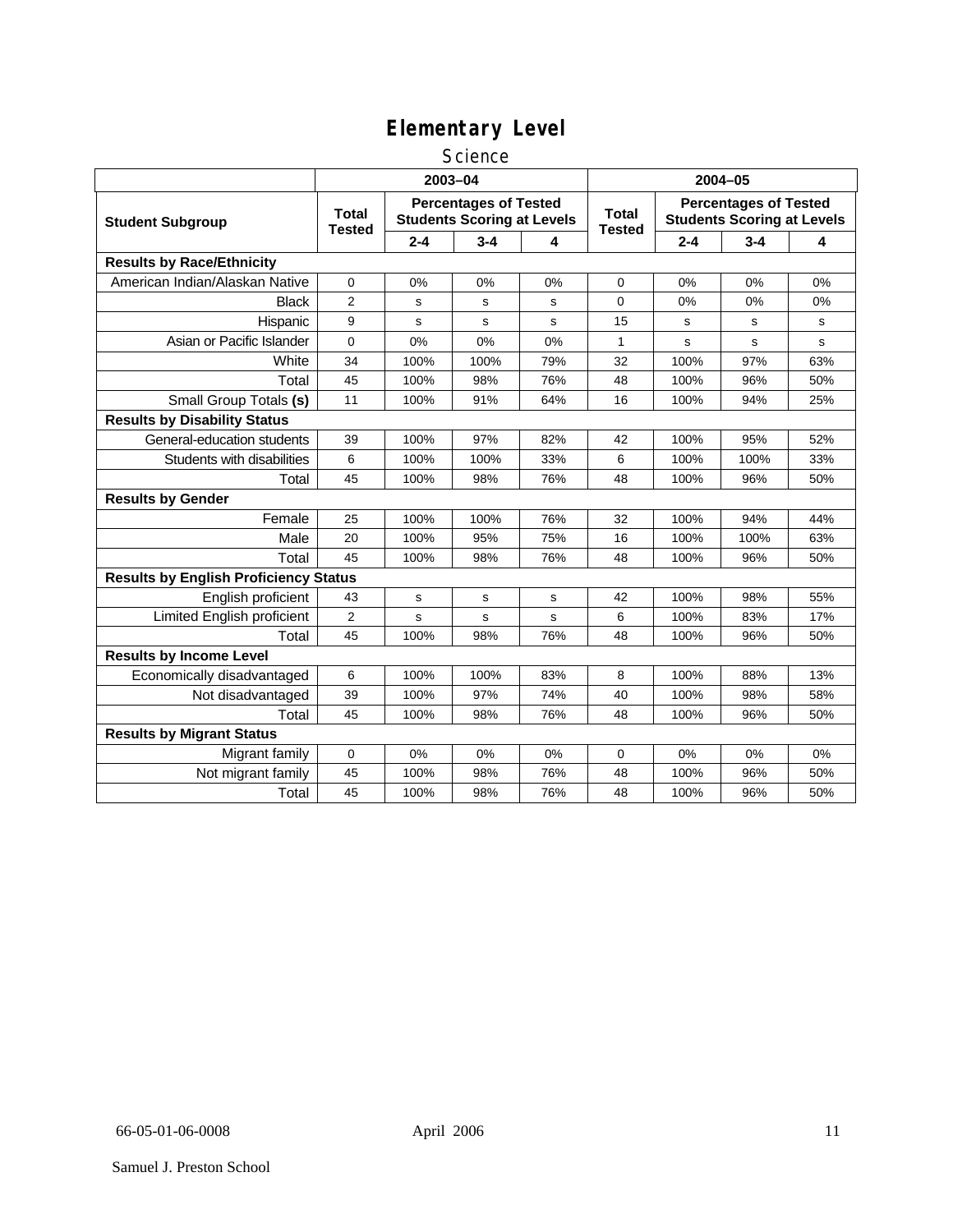#### **Science**

|                                              | 2003-04                                                                                            |             |         |                               |                                                                   | 2004-05 |         |     |  |
|----------------------------------------------|----------------------------------------------------------------------------------------------------|-------------|---------|-------------------------------|-------------------------------------------------------------------|---------|---------|-----|--|
| <b>Student Subgroup</b>                      | <b>Percentages of Tested</b><br><b>Total</b><br><b>Students Scoring at Levels</b><br><b>Tested</b> |             |         | <b>Total</b><br><b>Tested</b> | <b>Percentages of Tested</b><br><b>Students Scoring at Levels</b> |         |         |     |  |
|                                              |                                                                                                    | $2 - 4$     | $3 - 4$ | 4                             |                                                                   | $2 - 4$ | $3 - 4$ | 4   |  |
| <b>Results by Race/Ethnicity</b>             |                                                                                                    |             |         |                               |                                                                   |         |         |     |  |
| American Indian/Alaskan Native               | 0                                                                                                  | 0%          | 0%      | 0%                            | $\Omega$                                                          | 0%      | 0%      | 0%  |  |
| <b>Black</b>                                 | $\overline{2}$                                                                                     | s           | s       | s                             | 0                                                                 | 0%      | 0%      | 0%  |  |
| Hispanic                                     | 9                                                                                                  | $\mathbf s$ | s       | s                             | 15                                                                | s       | s       | s   |  |
| Asian or Pacific Islander                    | 0                                                                                                  | 0%          | 0%      | 0%                            | $\mathbf{1}$                                                      | s       | s       | s   |  |
| White                                        | 34                                                                                                 | 100%        | 100%    | 79%                           | 32                                                                | 100%    | 97%     | 63% |  |
| Total                                        | 45                                                                                                 | 100%        | 98%     | 76%                           | 48                                                                | 100%    | 96%     | 50% |  |
| Small Group Totals (s)                       | 11                                                                                                 | 100%        | 91%     | 64%                           | 16                                                                | 100%    | 94%     | 25% |  |
| <b>Results by Disability Status</b>          |                                                                                                    |             |         |                               |                                                                   |         |         |     |  |
| General-education students                   | 39                                                                                                 | 100%        | 97%     | 82%                           | 42                                                                | 100%    | 95%     | 52% |  |
| Students with disabilities                   | 6                                                                                                  | 100%        | 100%    | 33%                           | 6                                                                 | 100%    | 100%    | 33% |  |
| Total                                        | 45                                                                                                 | 100%        | 98%     | 76%                           | 48                                                                | 100%    | 96%     | 50% |  |
| <b>Results by Gender</b>                     |                                                                                                    |             |         |                               |                                                                   |         |         |     |  |
| Female                                       | 25                                                                                                 | 100%        | 100%    | 76%                           | 32                                                                | 100%    | 94%     | 44% |  |
| Male                                         | 20                                                                                                 | 100%        | 95%     | 75%                           | 16                                                                | 100%    | 100%    | 63% |  |
| Total                                        | 45                                                                                                 | 100%        | 98%     | 76%                           | 48                                                                | 100%    | 96%     | 50% |  |
| <b>Results by English Proficiency Status</b> |                                                                                                    |             |         |                               |                                                                   |         |         |     |  |
| English proficient                           | 43                                                                                                 | s           | s       | s                             | 42                                                                | 100%    | 98%     | 55% |  |
| Limited English proficient                   | $\overline{2}$                                                                                     | s           | s       | s                             | 6                                                                 | 100%    | 83%     | 17% |  |
| Total                                        | 45                                                                                                 | 100%        | 98%     | 76%                           | 48                                                                | 100%    | 96%     | 50% |  |
| <b>Results by Income Level</b>               |                                                                                                    |             |         |                               |                                                                   |         |         |     |  |
| Economically disadvantaged                   | 6                                                                                                  | 100%        | 100%    | 83%                           | 8                                                                 | 100%    | 88%     | 13% |  |
| Not disadvantaged                            | 39                                                                                                 | 100%        | 97%     | 74%                           | 40                                                                | 100%    | 98%     | 58% |  |
| Total                                        | 45                                                                                                 | 100%        | 98%     | 76%                           | 48                                                                | 100%    | 96%     | 50% |  |
| <b>Results by Migrant Status</b>             |                                                                                                    |             |         |                               |                                                                   |         |         |     |  |
| Migrant family                               | 0                                                                                                  | 0%          | 0%      | 0%                            | 0                                                                 | 0%      | 0%      | 0%  |  |
| Not migrant family                           | 45                                                                                                 | 100%        | 98%     | 76%                           | 48                                                                | 100%    | 96%     | 50% |  |
| Total                                        | 45                                                                                                 | 100%        | 98%     | 76%                           | 48                                                                | 100%    | 96%     | 50% |  |